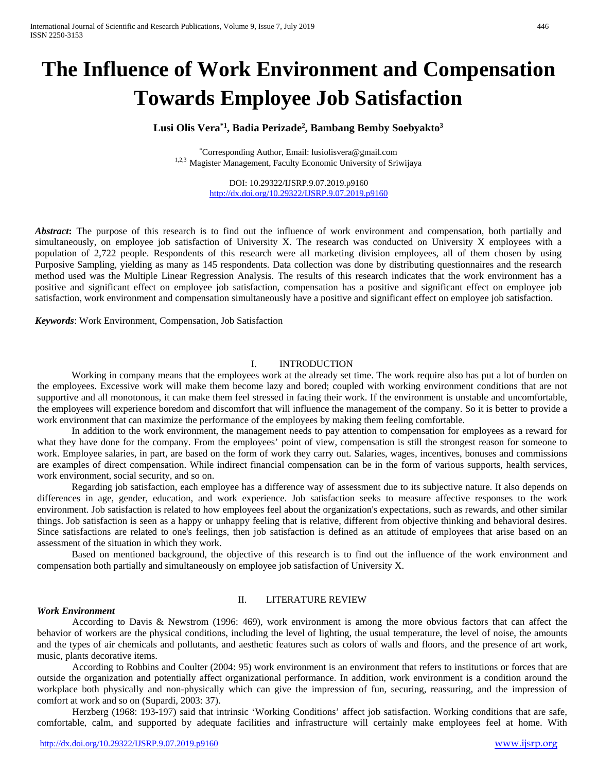# **The Influence of Work Environment and Compensation Towards Employee Job Satisfaction**

# **Lusi Olis Vera\*1 , Badia Perizade2 , Bambang Bemby Soebyakto3**

\*Corresponding Author, Email: lusiolisvera@gmail.com 1,2,3 Magister Management, Faculty Economic University of Sriwijaya

> DOI: 10.29322/IJSRP.9.07.2019.p9160 <http://dx.doi.org/10.29322/IJSRP.9.07.2019.p9160>

*Abstract***:** The purpose of this research is to find out the influence of work environment and compensation, both partially and simultaneously, on employee job satisfaction of University X. The research was conducted on University X employees with a population of 2,722 people. Respondents of this research were all marketing division employees, all of them chosen by using Purposive Sampling, yielding as many as 145 respondents. Data collection was done by distributing questionnaires and the research method used was the Multiple Linear Regression Analysis. The results of this research indicates that the work environment has a positive and significant effect on employee job satisfaction, compensation has a positive and significant effect on employee job satisfaction, work environment and compensation simultaneously have a positive and significant effect on employee job satisfaction.

*Keywords*: Work Environment, Compensation, Job Satisfaction

#### I. INTRODUCTION

Working in company means that the employees work at the already set time. The work require also has put a lot of burden on the employees. Excessive work will make them become lazy and bored; coupled with working environment conditions that are not supportive and all monotonous, it can make them feel stressed in facing their work. If the environment is unstable and uncomfortable, the employees will experience boredom and discomfort that will influence the management of the company. So it is better to provide a work environment that can maximize the performance of the employees by making them feeling comfortable.

In addition to the work environment, the management needs to pay attention to compensation for employees as a reward for what they have done for the company. From the employees' point of view, compensation is still the strongest reason for someone to work. Employee salaries, in part, are based on the form of work they carry out. Salaries, wages, incentives, bonuses and commissions are examples of direct compensation. While indirect financial compensation can be in the form of various supports, health services, work environment, social security, and so on.

Regarding job satisfaction, each employee has a difference way of assessment due to its subjective nature. It also depends on differences in age, gender, education, and work experience. Job satisfaction seeks to measure affective responses to the work environment. Job satisfaction is related to how employees feel about the organization's expectations, such as rewards, and other similar things. Job satisfaction is seen as a happy or unhappy feeling that is relative, different from objective thinking and behavioral desires. Since satisfactions are related to one's feelings, then job satisfaction is defined as an attitude of employees that arise based on an assessment of the situation in which they work.

Based on mentioned background, the objective of this research is to find out the influence of the work environment and compensation both partially and simultaneously on employee job satisfaction of University X.

#### *Work Environment*

## II. LITERATURE REVIEW

According to Davis & Newstrom (1996: 469), work environment is among the more obvious factors that can affect the behavior of workers are the physical conditions, including the level of lighting, the usual temperature, the level of noise, the amounts and the types of air chemicals and pollutants, and aesthetic features such as colors of walls and floors, and the presence of art work, music, plants decorative items.

According to Robbins and Coulter (2004: 95) work environment is an environment that refers to institutions or forces that are outside the organization and potentially affect organizational performance. In addition, work environment is a condition around the workplace both physically and non-physically which can give the impression of fun, securing, reassuring, and the impression of comfort at work and so on (Supardi, 2003: 37).

Herzberg (1968: 193-197) said that intrinsic 'Working Conditions' affect job satisfaction. Working conditions that are safe, comfortable, calm, and supported by adequate facilities and infrastructure will certainly make employees feel at home. With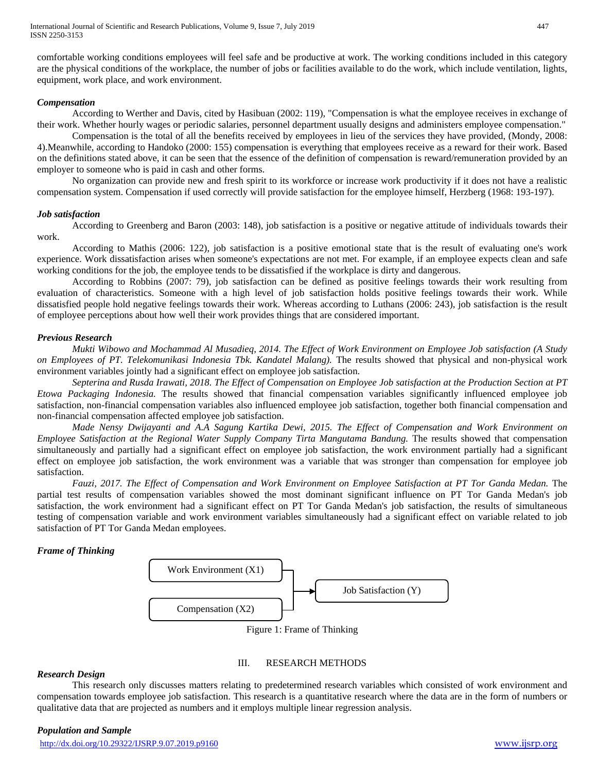comfortable working conditions employees will feel safe and be productive at work. The working conditions included in this category are the physical conditions of the workplace, the number of jobs or facilities available to do the work, which include ventilation, lights, equipment, work place, and work environment.

### *Compensation*

According to Werther and Davis, cited by Hasibuan (2002: 119), "Compensation is what the employee receives in exchange of their work. Whether hourly wages or periodic salaries, personnel department usually designs and administers employee compensation."

Compensation is the total of all the benefits received by employees in lieu of the services they have provided, (Mondy, 2008: 4).Meanwhile, according to Handoko (2000: 155) compensation is everything that employees receive as a reward for their work. Based on the definitions stated above, it can be seen that the essence of the definition of compensation is reward/remuneration provided by an employer to someone who is paid in cash and other forms.

No organization can provide new and fresh spirit to its workforce or increase work productivity if it does not have a realistic compensation system. Compensation if used correctly will provide satisfaction for the employee himself, Herzberg (1968: 193-197).

## *Job satisfaction*

According to Greenberg and Baron (2003: 148), job satisfaction is a positive or negative attitude of individuals towards their work.

According to Mathis (2006: 122), job satisfaction is a positive emotional state that is the result of evaluating one's work experience. Work dissatisfaction arises when someone's expectations are not met. For example, if an employee expects clean and safe working conditions for the job, the employee tends to be dissatisfied if the workplace is dirty and dangerous.

According to Robbins (2007: 79), job satisfaction can be defined as positive feelings towards their work resulting from evaluation of characteristics. Someone with a high level of job satisfaction holds positive feelings towards their work. While dissatisfied people hold negative feelings towards their work. Whereas according to Luthans (2006: 243), job satisfaction is the result of employee perceptions about how well their work provides things that are considered important.

## *Previous Research*

*Mukti Wibowo and Mochammad Al Musadieq, 2014. The Effect of Work Environment on Employee Job satisfaction (A Study on Employees of PT. Telekomunikasi Indonesia Tbk. Kandatel Malang).* The results showed that physical and non-physical work environment variables jointly had a significant effect on employee job satisfaction.

*Septerina and Rusda Irawati, 2018. The Effect of Compensation on Employee Job satisfaction at the Production Section at PT Etowa Packaging Indonesia.* The results showed that financial compensation variables significantly influenced employee job satisfaction, non-financial compensation variables also influenced employee job satisfaction, together both financial compensation and non-financial compensation affected employee job satisfaction.

*Made Nensy Dwijayanti and A.A Sagung Kartika Dewi, 2015. The Effect of Compensation and Work Environment on Employee Satisfaction at the Regional Water Supply Company Tirta Mangutama Bandung.* The results showed that compensation simultaneously and partially had a significant effect on employee job satisfaction, the work environment partially had a significant effect on employee job satisfaction, the work environment was a variable that was stronger than compensation for employee job satisfaction.

*Fauzi, 2017. The Effect of Compensation and Work Environment on Employee Satisfaction at PT Tor Ganda Medan.* The partial test results of compensation variables showed the most dominant significant influence on PT Tor Ganda Medan's job satisfaction, the work environment had a significant effect on PT Tor Ganda Medan's job satisfaction, the results of simultaneous testing of compensation variable and work environment variables simultaneously had a significant effect on variable related to job satisfaction of PT Tor Ganda Medan employees.

# *Frame of Thinking*



Figure 1: Frame of Thinking

# III. RESEARCH METHODS

### *Research Design*

This research only discusses matters relating to predetermined research variables which consisted of work environment and compensation towards employee job satisfaction. This research is a quantitative research where the data are in the form of numbers or qualitative data that are projected as numbers and it employs multiple linear regression analysis.

### *Population and Sample*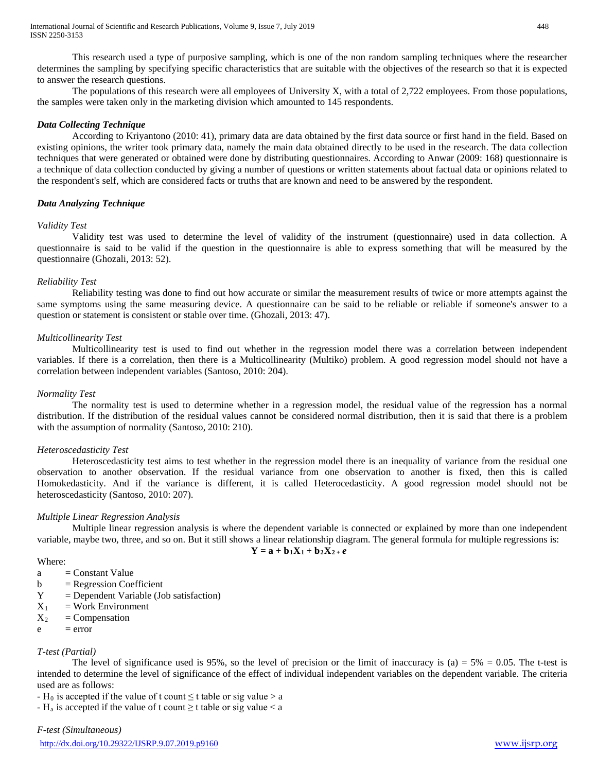This research used a type of purposive sampling, which is one of the non random sampling techniques where the researcher determines the sampling by specifying specific characteristics that are suitable with the objectives of the research so that it is expected to answer the research questions.

The populations of this research were all employees of University X, with a total of 2,722 employees. From those populations, the samples were taken only in the marketing division which amounted to 145 respondents.

## *Data Collecting Technique*

According to Kriyantono (2010: 41), primary data are data obtained by the first data source or first hand in the field. Based on existing opinions, the writer took primary data, namely the main data obtained directly to be used in the research. The data collection techniques that were generated or obtained were done by distributing questionnaires. According to Anwar (2009: 168) questionnaire is a technique of data collection conducted by giving a number of questions or written statements about factual data or opinions related to the respondent's self, which are considered facts or truths that are known and need to be answered by the respondent.

## *Data Analyzing Technique*

# *Validity Test*

Validity test was used to determine the level of validity of the instrument (questionnaire) used in data collection. A questionnaire is said to be valid if the question in the questionnaire is able to express something that will be measured by the questionnaire (Ghozali, 2013: 52).

## *Reliability Test*

Reliability testing was done to find out how accurate or similar the measurement results of twice or more attempts against the same symptoms using the same measuring device. A questionnaire can be said to be reliable or reliable if someone's answer to a question or statement is consistent or stable over time. (Ghozali, 2013: 47).

## *Multicollinearity Test*

Multicollinearity test is used to find out whether in the regression model there was a correlation between independent variables. If there is a correlation, then there is a Multicollinearity (Multiko) problem. A good regression model should not have a correlation between independent variables (Santoso, 2010: 204).

### *Normality Test*

The normality test is used to determine whether in a regression model, the residual value of the regression has a normal distribution. If the distribution of the residual values cannot be considered normal distribution, then it is said that there is a problem with the assumption of normality (Santoso, 2010: 210).

### *Heteroscedasticity Test*

Heteroscedasticity test aims to test whether in the regression model there is an inequality of variance from the residual one observation to another observation. If the residual variance from one observation to another is fixed, then this is called Homokedasticity. And if the variance is different, it is called Heterocedasticity. A good regression model should not be heteroscedasticity (Santoso, 2010: 207).

### *Multiple Linear Regression Analysis*

Multiple linear regression analysis is where the dependent variable is connected or explained by more than one independent variable, maybe two, three, and so on. But it still shows a linear relationship diagram. The general formula for multiple regressions is:

$$
Y = a + b_1 X_1 + b_2 X_2 + e
$$

## Where:

- $a =$  Constant Value
- $b = Regression Coefficient$
- Y = Dependent Variable (Job satisfaction)
- $X_1$  = Work Environment
- $X_2$  = Compensation
- $e = error$

# *T-test (Partial)*

The level of significance used is 95%, so the level of precision or the limit of inaccuracy is (a)  $= 5\% = 0.05$ . The t-test is intended to determine the level of significance of the effect of individual independent variables on the dependent variable. The criteria used are as follows:

- H<sub>0</sub> is accepted if the value of t count  $\leq$  t table or sig value > a

-  $H_a$  is accepted if the value of t count  $\geq$  t table or sig value  $\leq$  a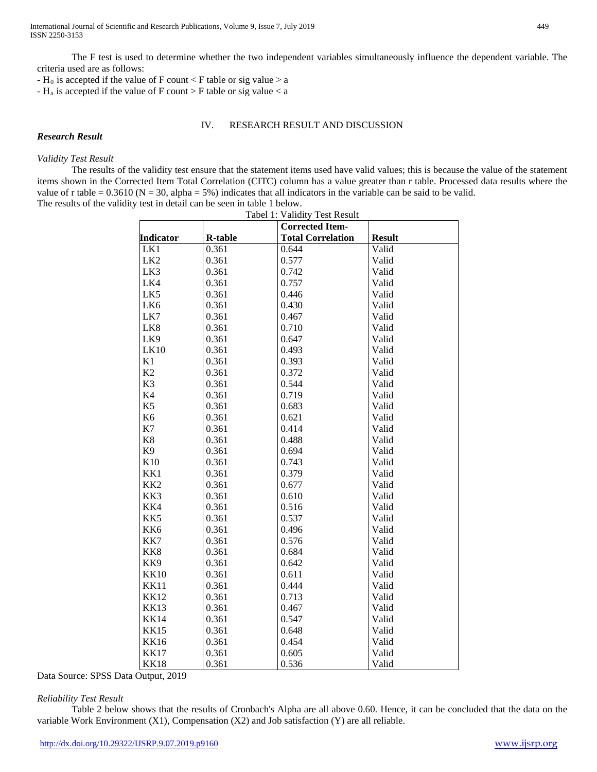The F test is used to determine whether the two independent variables simultaneously influence the dependent variable. The criteria used are as follows:

-  $H_0$  is accepted if the value of F count < F table or sig value > a

-  $H_a$  is accepted if the value of F count > F table or sig value < a

#### IV. RESEARCH RESULT AND DISCUSSION

#### *Research Result*

#### *Validity Test Result*

The results of the validity test ensure that the statement items used have valid values; this is because the value of the statement items shown in the Corrected Item Total Correlation (CITC) column has a value greater than r table. Processed data results where the value of r table =  $0.3610$  (N =  $30$ , alpha =  $5\%$ ) indicates that all indicators in the variable can be said to be valid. The results of the validity test in detail can be seen in table 1 below.

| Tabel 1: Validity Test Result |                |                          |               |  |  |
|-------------------------------|----------------|--------------------------|---------------|--|--|
|                               |                | <b>Corrected Item-</b>   |               |  |  |
| <b>Indicator</b>              | <b>R-table</b> | <b>Total Correlation</b> | <b>Result</b> |  |  |
| LK1                           | 0.361          | 0.644                    | Valid         |  |  |
| LK <sub>2</sub>               | 0.361          | 0.577                    | Valid         |  |  |
| LK3                           | 0.361          | 0.742                    | Valid         |  |  |
| LK4                           | 0.361          | 0.757                    | Valid         |  |  |
| LK5                           | 0.361          | 0.446                    | Valid         |  |  |
| LK6                           | 0.361          | 0.430                    | Valid         |  |  |
| LK7                           | 0.361          | 0.467                    | Valid         |  |  |
| LK8                           | 0.361          | 0.710                    | Valid         |  |  |
| LK9                           | 0.361          | 0.647                    | Valid         |  |  |
| <b>LK10</b>                   | 0.361          | 0.493                    | Valid         |  |  |
| K1                            | 0.361          | 0.393                    | Valid         |  |  |
| K2                            | 0.361          | 0.372                    | Valid         |  |  |
| K <sub>3</sub>                | 0.361          | 0.544                    | Valid         |  |  |
| K4                            | 0.361          | 0.719                    | Valid         |  |  |
| K <sub>5</sub>                | 0.361          | 0.683                    | Valid         |  |  |
| K <sub>6</sub>                | 0.361          | 0.621                    | Valid         |  |  |
| K7                            | 0.361          | 0.414                    | Valid         |  |  |
| K8                            | 0.361          | 0.488                    | Valid         |  |  |
| K <sub>9</sub>                | 0.361          | 0.694                    | Valid         |  |  |
| K10                           | 0.361          | 0.743                    | Valid         |  |  |
| KK1                           | 0.361          | 0.379                    | Valid         |  |  |
| KK <sub>2</sub>               | 0.361          | 0.677                    | Valid         |  |  |
| KK3                           | 0.361          | 0.610                    | Valid         |  |  |
| KK4                           | 0.361          | 0.516                    | Valid         |  |  |
| KK5                           | 0.361          | 0.537                    | Valid         |  |  |
| KK6                           | 0.361          | 0.496                    | Valid         |  |  |
| KK7                           | 0.361          | 0.576                    | Valid         |  |  |
| KK8                           | 0.361          | 0.684                    | Valid         |  |  |
| KK9                           | 0.361          | 0.642                    | Valid         |  |  |
| <b>KK10</b>                   | 0.361          | 0.611                    | Valid         |  |  |
| <b>KK11</b>                   | 0.361          | 0.444                    | Valid         |  |  |
| <b>KK12</b>                   | 0.361          | 0.713                    | Valid         |  |  |
| <b>KK13</b>                   | 0.361          | 0.467                    | Valid         |  |  |
| <b>KK14</b>                   | 0.361          | 0.547                    | Valid         |  |  |
| <b>KK15</b>                   | 0.361          | 0.648                    | Valid         |  |  |
| <b>KK16</b>                   | 0.361          | 0.454                    | Valid         |  |  |
| <b>KK17</b>                   | 0.361          | 0.605                    | Valid         |  |  |
| <b>KK18</b>                   | 0.361          | 0.536                    | Valid         |  |  |

Data Source: SPSS Data Output, 2019

### *Reliability Test Result*

Table 2 below shows that the results of Cronbach's Alpha are all above 0.60. Hence, it can be concluded that the data on the variable Work Environment  $(X1)$ , Compensation  $(X2)$  and Job satisfaction  $(Y)$  are all reliable.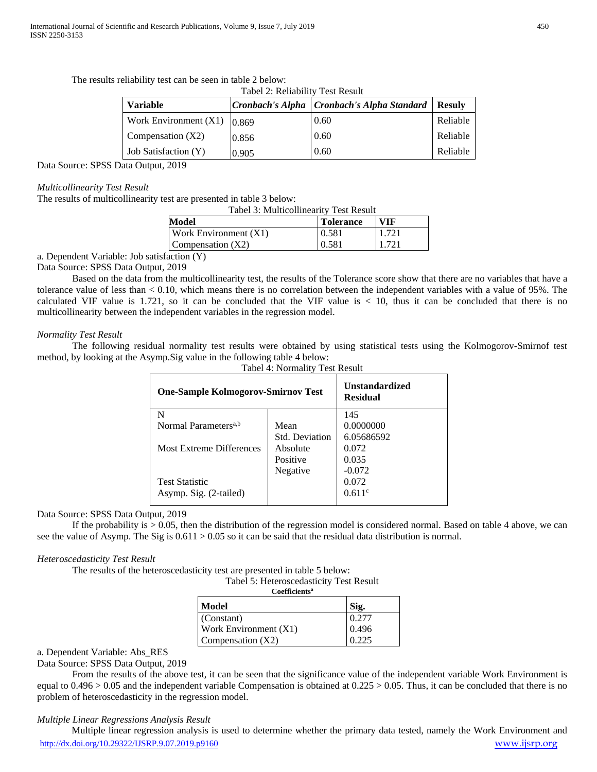The results reliability test can be seen in table 2 below: Tabel 2: Reliability Test Result

| <b>Variable</b>                 |       | Cronbach's Alpha   Cronbach's Alpha Standard | <b>Resulv</b> |
|---------------------------------|-------|----------------------------------------------|---------------|
| Work Environment $(X1)$   0.869 |       | 0.60                                         | Reliable      |
| Compensation $(X2)$             | 0.856 | 0.60                                         | Reliable      |
| <b>Job Satisfaction (Y)</b>     | 0.905 | 0.60                                         | Reliable      |

Data Source: SPSS Data Output, 2019

### *Multicollinearity Test Result*

The results of multicollinearity test are presented in table 3 below:

| Tabel 3: Multicollinearity Test Result |       |       |  |  |  |
|----------------------------------------|-------|-------|--|--|--|
| Model<br>VIF<br><b>Tolerance</b>       |       |       |  |  |  |
| Work Environment (X1)                  | 0.581 | 1.721 |  |  |  |
| Compensation $(X2)$                    | 0.581 |       |  |  |  |
|                                        |       |       |  |  |  |

a. Dependent Variable: Job satisfaction (Y)

Data Source: SPSS Data Output, 2019

Based on the data from the multicollinearity test, the results of the Tolerance score show that there are no variables that have a tolerance value of less than < 0.10, which means there is no correlation between the independent variables with a value of 95%. The calculated VIF value is  $1.721$ , so it can be concluded that the VIF value is  $< 10$ , thus it can be concluded that there is no multicollinearity between the independent variables in the regression model.

# *Normality Test Result*

The following residual normality test results were obtained by using statistical tests using the Kolmogorov-Smirnof test method, by looking at the Asymp.Sig value in the following table 4 below:

| Tabel 4: Normality Test Result            |                                          |            |  |  |  |
|-------------------------------------------|------------------------------------------|------------|--|--|--|
| <b>One-Sample Kolmogorov-Smirnov Test</b> | <b>Unstandardized</b><br><b>Residual</b> |            |  |  |  |
| N                                         |                                          | 145        |  |  |  |
| Normal Parameters <sup>a,b</sup>          | Mean                                     | 0.0000000  |  |  |  |
|                                           | <b>Std. Deviation</b>                    | 6.05686592 |  |  |  |
| Most Extreme Differences                  | Absolute                                 | 0.072      |  |  |  |
|                                           | Positive                                 | 0.035      |  |  |  |
|                                           | Negative                                 | $-0.072$   |  |  |  |
| <b>Test Statistic</b>                     |                                          | 0.072      |  |  |  |
| Asymp. Sig. (2-tailed)                    |                                          | 0.611c     |  |  |  |

### Data Source: SPSS Data Output, 2019

If the probability is  $> 0.05$ , then the distribution of the regression model is considered normal. Based on table 4 above, we can see the value of Asymp. The Sig is  $0.611 > 0.05$  so it can be said that the residual data distribution is normal.

# *Heteroscedasticity Test Result*

The results of the heteroscedasticity test are presented in table 5 below:

| Tabel 5: Heteroscedasticity Test Result |  |
|-----------------------------------------|--|
| <b>Coefficients</b> <sup>a</sup>        |  |
|                                         |  |

| Model                   | Sig.  |
|-------------------------|-------|
| $\vert$ (Constant)      | 0.277 |
| Work Environment $(X1)$ | 0.496 |
| Compensation $(X2)$     |       |

# a. Dependent Variable: Abs\_RES

Data Source: SPSS Data Output, 2019

From the results of the above test, it can be seen that the significance value of the independent variable Work Environment is equal to  $0.496 > 0.05$  and the independent variable Compensation is obtained at  $0.225 > 0.05$ . Thus, it can be concluded that there is no problem of heteroscedasticity in the regression model.

# *Multiple Linear Regressions Analysis Result*

<http://dx.doi.org/10.29322/IJSRP.9.07.2019.p9160> [www.ijsrp.org](http://ijsrp.org/) Multiple linear regression analysis is used to determine whether the primary data tested, namely the Work Environment and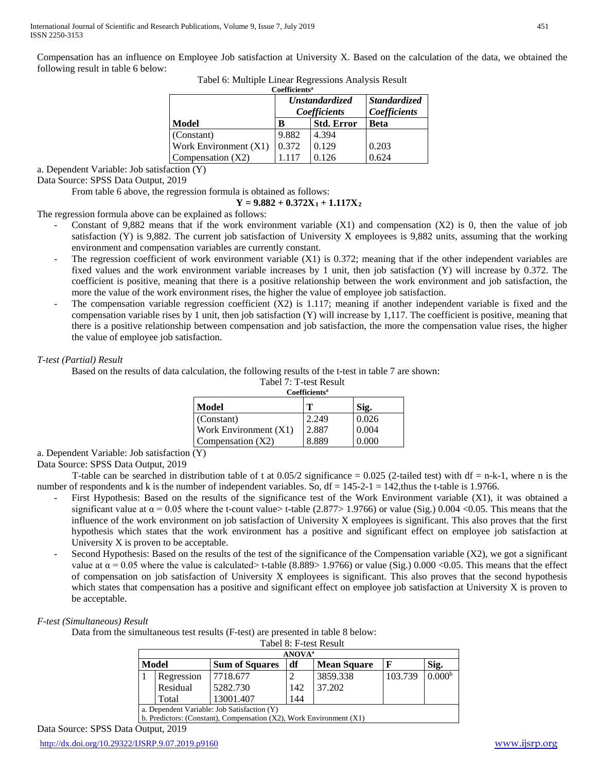Compensation has an influence on Employee Job satisfaction at University X. Based on the calculation of the data, we obtained the following result in table 6 below:

|  |  |  | Tabel 6: Multiple Linear Regressions Analysis Result |  |
|--|--|--|------------------------------------------------------|--|
|  |  |  |                                                      |  |

| Coefficients <sup>a</sup>      |       |                   |                     |  |  |  |  |
|--------------------------------|-------|-------------------|---------------------|--|--|--|--|
|                                |       | Unstandardized    | <b>Standardized</b> |  |  |  |  |
|                                |       | Coefficients      | Coefficients        |  |  |  |  |
| Model                          | B     | <b>Std. Error</b> | <b>Beta</b>         |  |  |  |  |
| (Constant)                     | 9.882 | 4.394             |                     |  |  |  |  |
| <b>Work Environment</b> $(X1)$ | 0.372 | 0.129             | 0.203               |  |  |  |  |
| Compensation $(X2)$            |       | 0.126             | 0.624               |  |  |  |  |

a. Dependent Variable: Job satisfaction (Y)

Data Source: SPSS Data Output, 2019

From table 6 above, the regression formula is obtained as follows:

## $Y = 9.882 + 0.372X_1 + 1.117X_2$

The regression formula above can be explained as follows:

- Constant of 9,882 means that if the work environment variable  $(X1)$  and compensation  $(X2)$  is 0, then the value of job satisfaction (Y) is 9,882. The current job satisfaction of University X employees is 9,882 units, assuming that the working environment and compensation variables are currently constant.
- The regression coefficient of work environment variable  $(X1)$  is 0.372; meaning that if the other independent variables are fixed values and the work environment variable increases by 1 unit, then job satisfaction (Y) will increase by 0.372. The coefficient is positive, meaning that there is a positive relationship between the work environment and job satisfaction, the more the value of the work environment rises, the higher the value of employee job satisfaction.
- The compensation variable regression coefficient  $(X2)$  is 1.117; meaning if another independent variable is fixed and the compensation variable rises by 1 unit, then job satisfaction (Y) will increase by 1,117. The coefficient is positive, meaning that there is a positive relationship between compensation and job satisfaction, the more the compensation value rises, the higher the value of employee job satisfaction.

## *T-test (Partial) Result*

Based on the results of data calculation, the following results of the t-test in table 7 are shown:

| Tabel 7: T-test Result |  |
|------------------------|--|
|------------------------|--|

| <b>Coefficients</b> <sup>a</sup> |       |              |  |  |  |
|----------------------------------|-------|--------------|--|--|--|
| Model                            | т     | $\dot{12}$ . |  |  |  |
| (Constant)                       | 2.249 | 0.026        |  |  |  |
| Work Environment (X1)            | 2.887 | 0.004        |  |  |  |
| Compensation (X2)                | 8.889 |              |  |  |  |

a. Dependent Variable: Job satisfaction (Y)

Data Source: SPSS Data Output, 2019

T-table can be searched in distribution table of t at  $0.05/2$  significance = 0.025 (2-tailed test) with df = n-k-1, where n is the number of respondents and k is the number of independent variables. So,  $df = 145-2-1 = 142$ , thus the t-table is 1.9766.

- First Hypothesis: Based on the results of the significance test of the Work Environment variable (X1), it was obtained a significant value at  $\alpha = 0.05$  where the t-count value> t-table (2.877> 1.9766) or value (Sig.) 0.004 <0.05. This means that the influence of the work environment on job satisfaction of University X employees is significant. This also proves that the first hypothesis which states that the work environment has a positive and significant effect on employee job satisfaction at University X is proven to be acceptable.
- Second Hypothesis: Based on the results of the test of the significance of the Compensation variable (X2), we got a significant value at  $\alpha$  = 0.05 where the value is calculated> t-table (8.889> 1.9766) or value (Sig.) 0.000 <0.05. This means that the effect of compensation on job satisfaction of University X employees is significant. This also proves that the second hypothesis which states that compensation has a positive and significant effect on employee job satisfaction at University X is proven to be acceptable.

### *F-test (Simultaneous) Result*

Data from the simultaneous test results (F-test) are presented in table 8 below:

|                                       | Tabel 8: F-test Result                                                   |                       |    |                    |         |                    |  |  |
|---------------------------------------|--------------------------------------------------------------------------|-----------------------|----|--------------------|---------|--------------------|--|--|
|                                       | <b>ANOVA</b> <sup>a</sup>                                                |                       |    |                    |         |                    |  |  |
| Model                                 |                                                                          | <b>Sum of Squares</b> | df | <b>Mean Square</b> | F       | Sig.               |  |  |
|                                       | Regression                                                               | 7718.677              |    | 3859.338           | 103.739 | 0.000 <sup>b</sup> |  |  |
| Residual<br>5282.730<br>37.202<br>142 |                                                                          |                       |    |                    |         |                    |  |  |
|                                       | 13001.407<br>144<br>Total                                                |                       |    |                    |         |                    |  |  |
|                                       | a. Dependent Variable: Job Satisfaction (Y)                              |                       |    |                    |         |                    |  |  |
|                                       | b. Predictors: (Constant), Compensation $(X2)$ , Work Environment $(X1)$ |                       |    |                    |         |                    |  |  |

Data Source: SPSS Data Output, 2019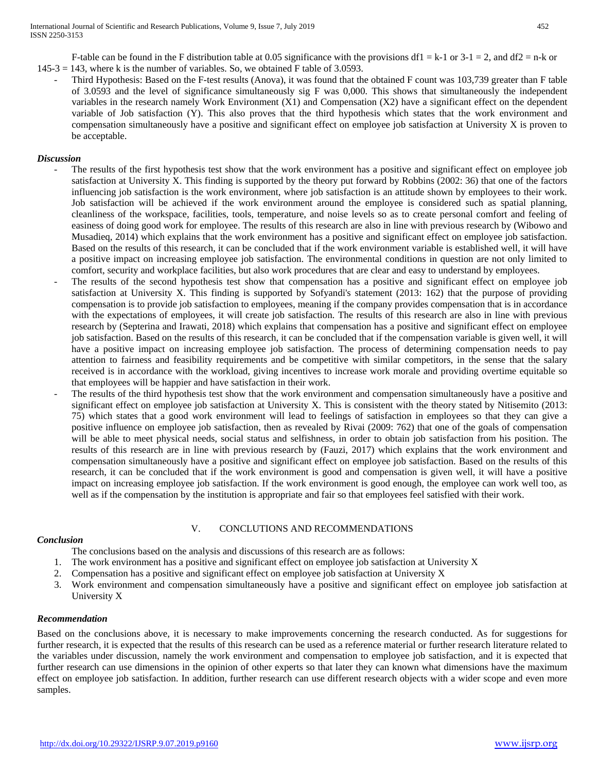F-table can be found in the F distribution table at 0.05 significance with the provisions df1 = k-1 or 3-1 = 2, and df2 = n-k or  $145-3 = 143$ , where k is the number of variables. So, we obtained F table of 3.0593.

Third Hypothesis: Based on the F-test results (Anova), it was found that the obtained F count was 103,739 greater than F table of 3.0593 and the level of significance simultaneously sig F was 0,000. This shows that simultaneously the independent variables in the research namely Work Environment (X1) and Compensation (X2) have a significant effect on the dependent variable of Job satisfaction (Y). This also proves that the third hypothesis which states that the work environment and compensation simultaneously have a positive and significant effect on employee job satisfaction at University X is proven to be acceptable.

#### *Discussion*

- The results of the first hypothesis test show that the work environment has a positive and significant effect on employee job satisfaction at University X. This finding is supported by the theory put forward by Robbins (2002: 36) that one of the factors influencing job satisfaction is the work environment, where job satisfaction is an attitude shown by employees to their work. Job satisfaction will be achieved if the work environment around the employee is considered such as spatial planning, cleanliness of the workspace, facilities, tools, temperature, and noise levels so as to create personal comfort and feeling of easiness of doing good work for employee. The results of this research are also in line with previous research by (Wibowo and Musadieq, 2014) which explains that the work environment has a positive and significant effect on employee job satisfaction. Based on the results of this research, it can be concluded that if the work environment variable is established well, it will have a positive impact on increasing employee job satisfaction. The environmental conditions in question are not only limited to comfort, security and workplace facilities, but also work procedures that are clear and easy to understand by employees.
- The results of the second hypothesis test show that compensation has a positive and significant effect on employee job satisfaction at University X. This finding is supported by Sofyandi's statement (2013: 162) that the purpose of providing compensation is to provide job satisfaction to employees, meaning if the company provides compensation that is in accordance with the expectations of employees, it will create job satisfaction. The results of this research are also in line with previous research by (Septerina and Irawati, 2018) which explains that compensation has a positive and significant effect on employee job satisfaction. Based on the results of this research, it can be concluded that if the compensation variable is given well, it will have a positive impact on increasing employee job satisfaction. The process of determining compensation needs to pay attention to fairness and feasibility requirements and be competitive with similar competitors, in the sense that the salary received is in accordance with the workload, giving incentives to increase work morale and providing overtime equitable so that employees will be happier and have satisfaction in their work.
- The results of the third hypothesis test show that the work environment and compensation simultaneously have a positive and significant effect on employee job satisfaction at University X. This is consistent with the theory stated by Nitisemito (2013: 75) which states that a good work environment will lead to feelings of satisfaction in employees so that they can give a positive influence on employee job satisfaction, then as revealed by Rivai (2009: 762) that one of the goals of compensation will be able to meet physical needs, social status and selfishness, in order to obtain job satisfaction from his position. The results of this research are in line with previous research by (Fauzi, 2017) which explains that the work environment and compensation simultaneously have a positive and significant effect on employee job satisfaction. Based on the results of this research, it can be concluded that if the work environment is good and compensation is given well, it will have a positive impact on increasing employee job satisfaction. If the work environment is good enough, the employee can work well too, as well as if the compensation by the institution is appropriate and fair so that employees feel satisfied with their work.

#### *Conclusion*

## V. CONCLUTIONS AND RECOMMENDATIONS

The conclusions based on the analysis and discussions of this research are as follows:

- 1. The work environment has a positive and significant effect on employee job satisfaction at University X
- 2. Compensation has a positive and significant effect on employee job satisfaction at University X
- 3. Work environment and compensation simultaneously have a positive and significant effect on employee job satisfaction at University X

#### *Recommendation*

Based on the conclusions above, it is necessary to make improvements concerning the research conducted. As for suggestions for further research, it is expected that the results of this research can be used as a reference material or further research literature related to the variables under discussion, namely the work environment and compensation to employee job satisfaction, and it is expected that further research can use dimensions in the opinion of other experts so that later they can known what dimensions have the maximum effect on employee job satisfaction. In addition, further research can use different research objects with a wider scope and even more samples.